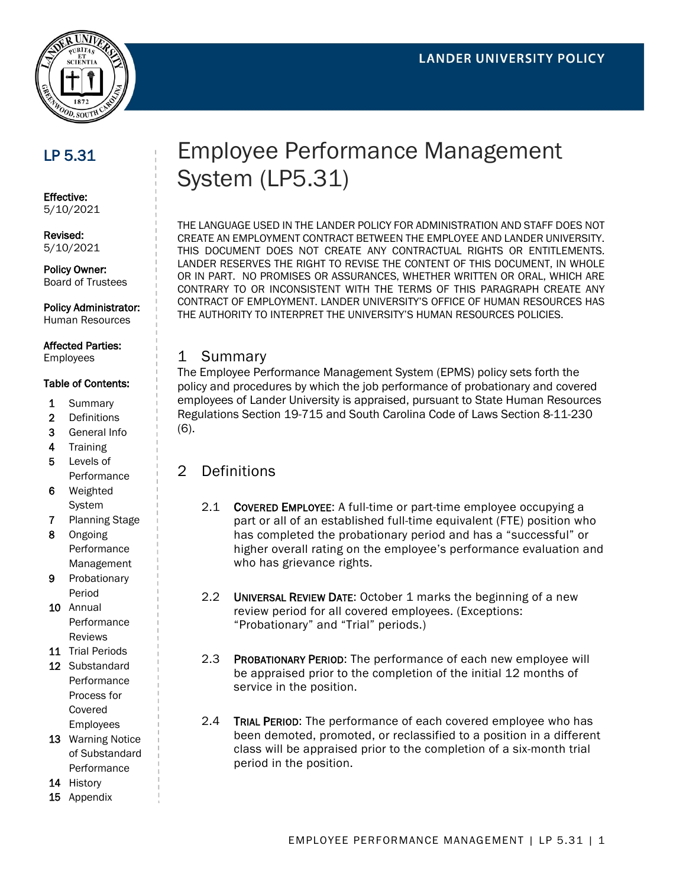

# LP 5.31

Effective: 5/10/2021

#### Revised: 5/10/2021

Policy Owner: Board of Trustees

Policy Administrator:

Human Resources

## Affected Parties:

Employees

#### Table of Contents:

- 1 Summary
- 2 Definitions
- 3 General Info
- 4 Training
- 5 Levels of **Performance**
- 6 Weighted System
- 7 Planning Stage
- 8 Ongoing Performance Management
- 9 Probationary Period
- 10 Annual Performance Reviews
- 11 Trial Periods
- 12 Substandard Performance Process for Covered
- Employees 13 Warning Notice of Substandard Performance
- 14 History
- 15 Appendix

# Employee Performance Management System (LP5.31)

THE LANGUAGE USED IN THE LANDER POLICY FOR ADMINISTRATION AND STAFF DOES NOT CREATE AN EMPLOYMENT CONTRACT BETWEEN THE EMPLOYEE AND LANDER UNIVERSITY. THIS DOCUMENT DOES NOT CREATE ANY CONTRACTUAL RIGHTS OR ENTITLEMENTS. LANDER RESERVES THE RIGHT TO REVISE THE CONTENT OF THIS DOCUMENT, IN WHOLE OR IN PART. NO PROMISES OR ASSURANCES, WHETHER WRITTEN OR ORAL, WHICH ARE CONTRARY TO OR INCONSISTENT WITH THE TERMS OF THIS PARAGRAPH CREATE ANY CONTRACT OF EMPLOYMENT. LANDER UNIVERSITY'S OFFICE OF HUMAN RESOURCES HAS THE AUTHORITY TO INTERPRET THE UNIVERSITY'S HUMAN RESOURCES POLICIES.

#### 1 Summary

The Employee Performance Management System (EPMS) policy sets forth the policy and procedures by which the job performance of probationary and covered employees of Lander University is appraised, pursuant to State Human Resources Regulations Section 19-715 and South Carolina Code of Laws Section 8-11-230 (6).

#### 2 Definitions

- 2.1 COVERED EMPLOYEE: A full-time or part-time employee occupying a part or all of an established full-time equivalent (FTE) position who has completed the probationary period and has a "successful" or higher overall rating on the employee's performance evaluation and who has grievance rights.
- 2.2 UNIVERSAL REVIEW DATE: October 1 marks the beginning of a new review period for all covered employees. (Exceptions: "Probationary" and "Trial" periods.)
- 2.3 PROBATIONARY PERIOD: The performance of each new employee will be appraised prior to the completion of the initial 12 months of service in the position.
- 2.4 TRIAL PERIOD: The performance of each covered employee who has been demoted, promoted, or reclassified to a position in a different class will be appraised prior to the completion of a six-month trial period in the position.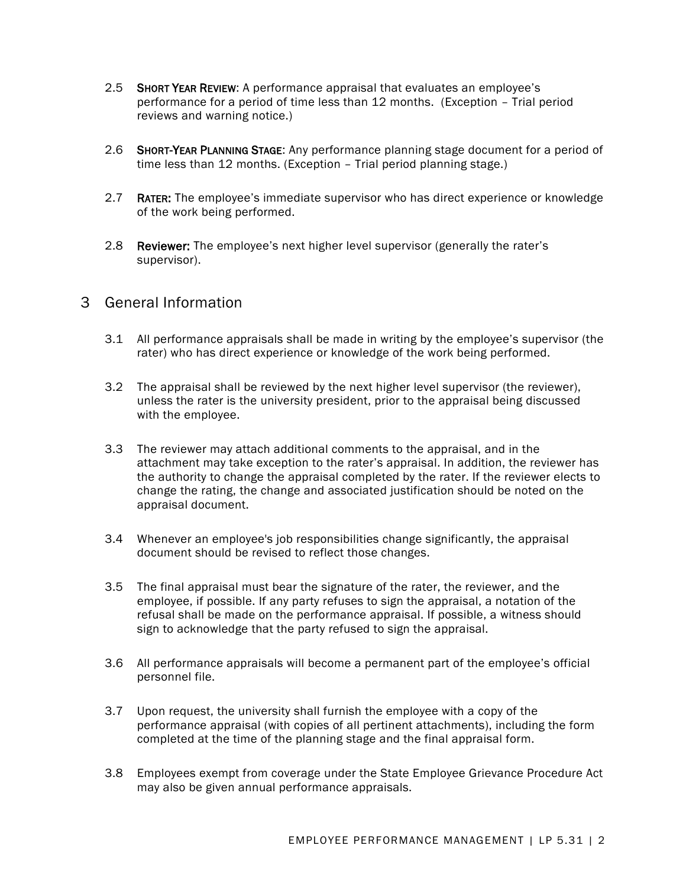- 2.5 SHORT YEAR REVIEW: A performance appraisal that evaluates an employee's performance for a period of time less than 12 months. (Exception – Trial period reviews and warning notice.)
- 2.6 SHORT-YEAR PLANNING STAGE: Any performance planning stage document for a period of time less than 12 months. (Exception – Trial period planning stage.)
- 2.7 RATER: The employee's immediate supervisor who has direct experience or knowledge of the work being performed.
- 2.8 Reviewer: The employee's next higher level supervisor (generally the rater's supervisor).

## 3 General Information

- 3.1 All performance appraisals shall be made in writing by the employee's supervisor (the rater) who has direct experience or knowledge of the work being performed.
- 3.2 The appraisal shall be reviewed by the next higher level supervisor (the reviewer), unless the rater is the university president, prior to the appraisal being discussed with the employee.
- 3.3 The reviewer may attach additional comments to the appraisal, and in the attachment may take exception to the rater's appraisal. In addition, the reviewer has the authority to change the appraisal completed by the rater. If the reviewer elects to change the rating, the change and associated justification should be noted on the appraisal document.
- 3.4 Whenever an employee's job responsibilities change significantly, the appraisal document should be revised to reflect those changes.
- 3.5 The final appraisal must bear the signature of the rater, the reviewer, and the employee, if possible. If any party refuses to sign the appraisal, a notation of the refusal shall be made on the performance appraisal. If possible, a witness should sign to acknowledge that the party refused to sign the appraisal.
- 3.6 All performance appraisals will become a permanent part of the employee's official personnel file.
- 3.7 Upon request, the university shall furnish the employee with a copy of the performance appraisal (with copies of all pertinent attachments), including the form completed at the time of the planning stage and the final appraisal form.
- 3.8 Employees exempt from coverage under the State Employee Grievance Procedure Act may also be given annual performance appraisals.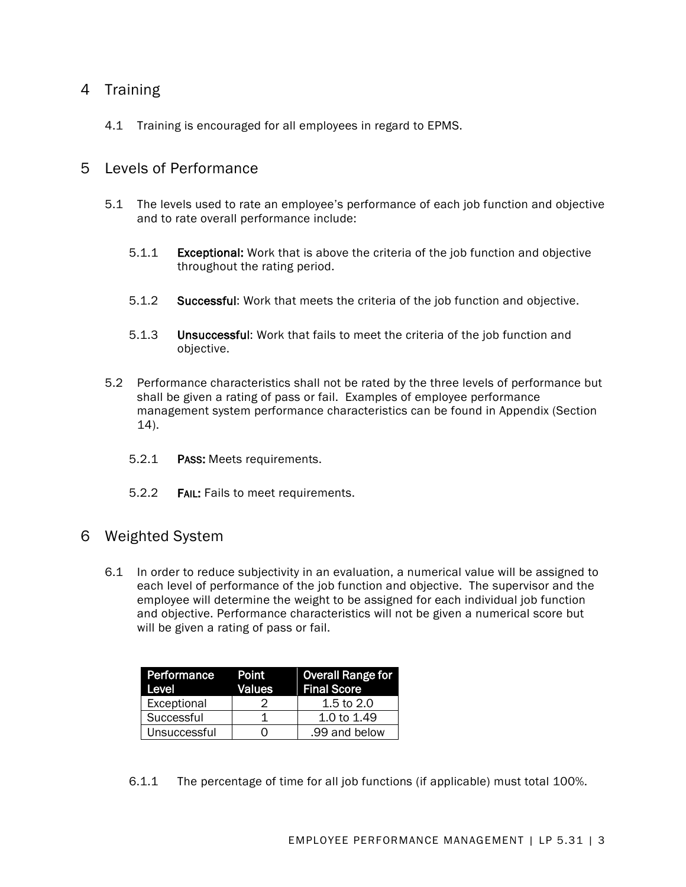## 4 Training

4.1 Training is encouraged for all employees in regard to EPMS.

### 5 Levels of Performance

- 5.1 The levels used to rate an employee's performance of each job function and objective and to rate overall performance include:
	- 5.1.1 Exceptional: Work that is above the criteria of the job function and objective throughout the rating period.
	- 5.1.2 Successful: Work that meets the criteria of the job function and objective.
	- 5.1.3 Unsuccessful: Work that fails to meet the criteria of the job function and objective.
- 5.2 Performance characteristics shall not be rated by the three levels of performance but shall be given a rating of pass or fail. Examples of employee performance management system performance characteristics can be found in Appendix (Section 14).
	- 5.2.1 PASS: Meets requirements.
	- 5.2.2 FAIL: Fails to meet requirements.

#### 6 Weighted System

6.1 In order to reduce subjectivity in an evaluation, a numerical value will be assigned to each level of performance of the job function and objective. The supervisor and the employee will determine the weight to be assigned for each individual job function and objective. Performance characteristics will not be given a numerical score but will be given a rating of pass or fail.

| Performance<br>Level | Point<br>Values | <b>Overall Range for</b><br><b>Final Score</b> |
|----------------------|-----------------|------------------------------------------------|
| Exceptional          |                 | 1.5 to $2.0$                                   |
| Successful           |                 | 1.0 to 1.49                                    |
| Unsuccessful         |                 | .99 and below                                  |

6.1.1 The percentage of time for all job functions (if applicable) must total 100%.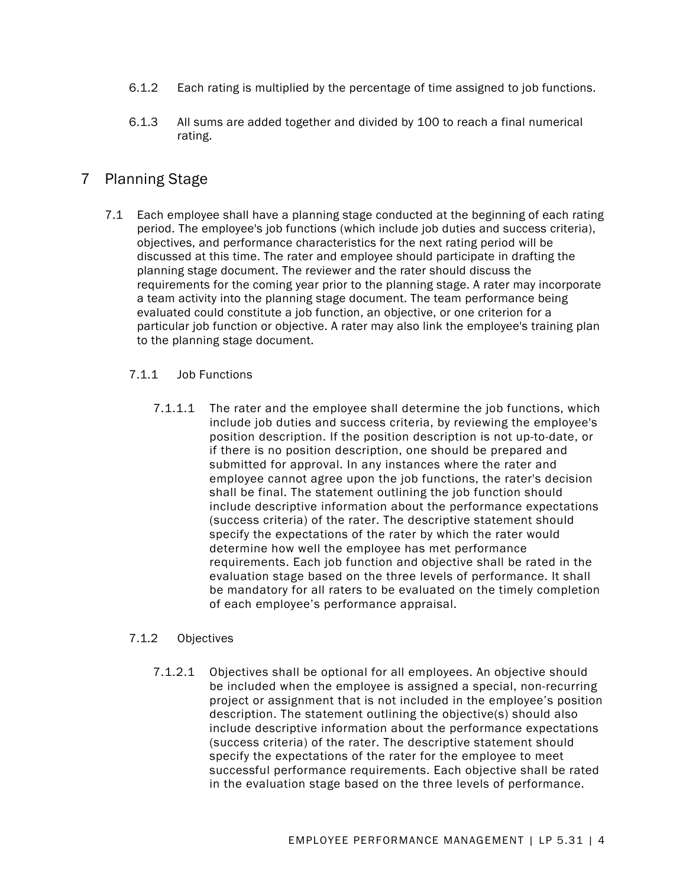- 6.1.2 Each rating is multiplied by the percentage of time assigned to job functions.
- 6.1.3 All sums are added together and divided by 100 to reach a final numerical rating.

# 7 Planning Stage

7.1 Each employee shall have a planning stage conducted at the beginning of each rating period. The employee's job functions (which include job duties and success criteria), objectives, and performance characteristics for the next rating period will be discussed at this time. The rater and employee should participate in drafting the planning stage document. The reviewer and the rater should discuss the requirements for the coming year prior to the planning stage. A rater may incorporate a team activity into the planning stage document. The team performance being evaluated could constitute a job function, an objective, or one criterion for a particular job function or objective. A rater may also link the employee's training plan to the planning stage document.

#### 7.1.1 Job Functions

7.1.1.1 The rater and the employee shall determine the job functions, which include job duties and success criteria, by reviewing the employee's position description. If the position description is not up-to-date, or if there is no position description, one should be prepared and submitted for approval. In any instances where the rater and employee cannot agree upon the job functions, the rater's decision shall be final. The statement outlining the job function should include descriptive information about the performance expectations (success criteria) of the rater. The descriptive statement should specify the expectations of the rater by which the rater would determine how well the employee has met performance requirements. Each job function and objective shall be rated in the evaluation stage based on the three levels of performance. It shall be mandatory for all raters to be evaluated on the timely completion of each employee's performance appraisal.

#### 7.1.2 Objectives

7.1.2.1 Objectives shall be optional for all employees. An objective should be included when the employee is assigned a special, non-recurring project or assignment that is not included in the employee's position description. The statement outlining the objective(s) should also include descriptive information about the performance expectations (success criteria) of the rater. The descriptive statement should specify the expectations of the rater for the employee to meet successful performance requirements. Each objective shall be rated in the evaluation stage based on the three levels of performance.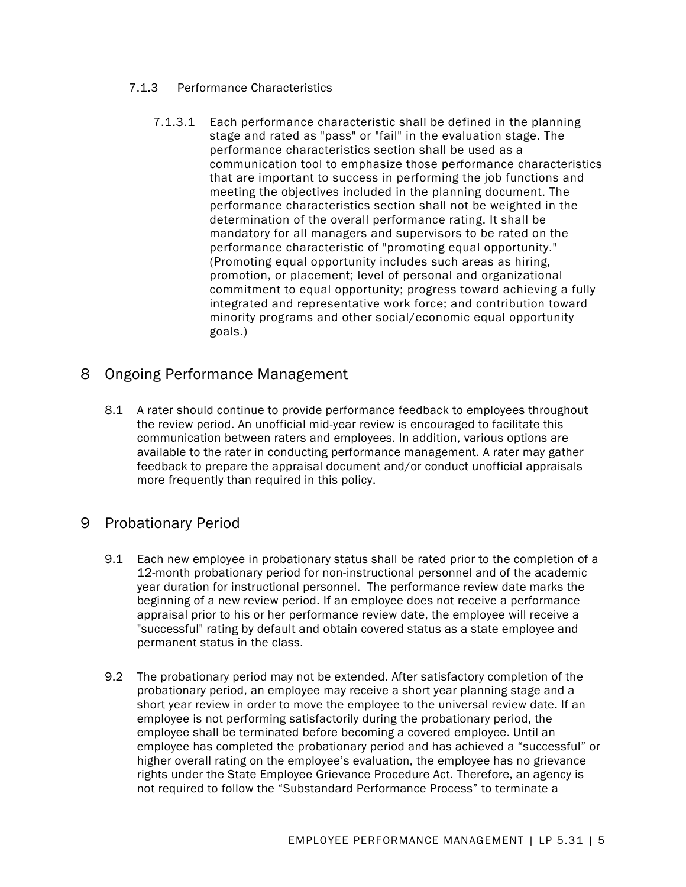- 7.1.3 Performance Characteristics
	- 7.1.3.1 Each performance characteristic shall be defined in the planning stage and rated as "pass" or "fail" in the evaluation stage. The performance characteristics section shall be used as a communication tool to emphasize those performance characteristics that are important to success in performing the job functions and meeting the objectives included in the planning document. The performance characteristics section shall not be weighted in the determination of the overall performance rating. It shall be mandatory for all managers and supervisors to be rated on the performance characteristic of "promoting equal opportunity." (Promoting equal opportunity includes such areas as hiring, promotion, or placement; level of personal and organizational commitment to equal opportunity; progress toward achieving a fully integrated and representative work force; and contribution toward minority programs and other social/economic equal opportunity goals.)

# 8 Ongoing Performance Management

8.1 A rater should continue to provide performance feedback to employees throughout the review period. An unofficial mid-year review is encouraged to facilitate this communication between raters and employees. In addition, various options are available to the rater in conducting performance management. A rater may gather feedback to prepare the appraisal document and/or conduct unofficial appraisals more frequently than required in this policy.

## 9 Probationary Period

- 9.1 Each new employee in probationary status shall be rated prior to the completion of a 12-month probationary period for non-instructional personnel and of the academic year duration for instructional personnel. The performance review date marks the beginning of a new review period. If an employee does not receive a performance appraisal prior to his or her performance review date, the employee will receive a "successful" rating by default and obtain covered status as a state employee and permanent status in the class.
- 9.2 The probationary period may not be extended. After satisfactory completion of the probationary period, an employee may receive a short year planning stage and a short year review in order to move the employee to the universal review date. If an employee is not performing satisfactorily during the probationary period, the employee shall be terminated before becoming a covered employee. Until an employee has completed the probationary period and has achieved a "successful" or higher overall rating on the employee's evaluation, the employee has no grievance rights under the State Employee Grievance Procedure Act. Therefore, an agency is not required to follow the "Substandard Performance Process" to terminate a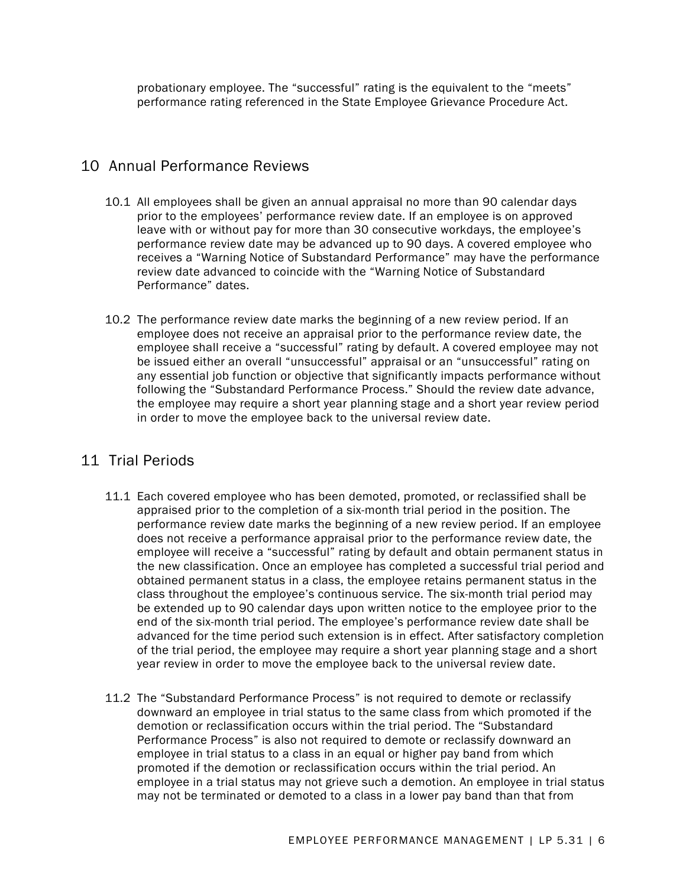probationary employee. The "successful" rating is the equivalent to the "meets" performance rating referenced in the State Employee Grievance Procedure Act.

## 10 Annual Performance Reviews

- 10.1 All employees shall be given an annual appraisal no more than 90 calendar days prior to the employees' performance review date. If an employee is on approved leave with or without pay for more than 30 consecutive workdays, the employee's performance review date may be advanced up to 90 days. A covered employee who receives a "Warning Notice of Substandard Performance" may have the performance review date advanced to coincide with the "Warning Notice of Substandard Performance" dates.
- 10.2 The performance review date marks the beginning of a new review period. If an employee does not receive an appraisal prior to the performance review date, the employee shall receive a "successful" rating by default. A covered employee may not be issued either an overall "unsuccessful" appraisal or an "unsuccessful" rating on any essential job function or objective that significantly impacts performance without following the "Substandard Performance Process." Should the review date advance, the employee may require a short year planning stage and a short year review period in order to move the employee back to the universal review date.

# 11 Trial Periods

- 11.1 Each covered employee who has been demoted, promoted, or reclassified shall be appraised prior to the completion of a six-month trial period in the position. The performance review date marks the beginning of a new review period. If an employee does not receive a performance appraisal prior to the performance review date, the employee will receive a "successful" rating by default and obtain permanent status in the new classification. Once an employee has completed a successful trial period and obtained permanent status in a class, the employee retains permanent status in the class throughout the employee's continuous service. The six-month trial period may be extended up to 90 calendar days upon written notice to the employee prior to the end of the six-month trial period. The employee's performance review date shall be advanced for the time period such extension is in effect. After satisfactory completion of the trial period, the employee may require a short year planning stage and a short year review in order to move the employee back to the universal review date.
- 11.2 The "Substandard Performance Process" is not required to demote or reclassify downward an employee in trial status to the same class from which promoted if the demotion or reclassification occurs within the trial period. The "Substandard Performance Process" is also not required to demote or reclassify downward an employee in trial status to a class in an equal or higher pay band from which promoted if the demotion or reclassification occurs within the trial period. An employee in a trial status may not grieve such a demotion. An employee in trial status may not be terminated or demoted to a class in a lower pay band than that from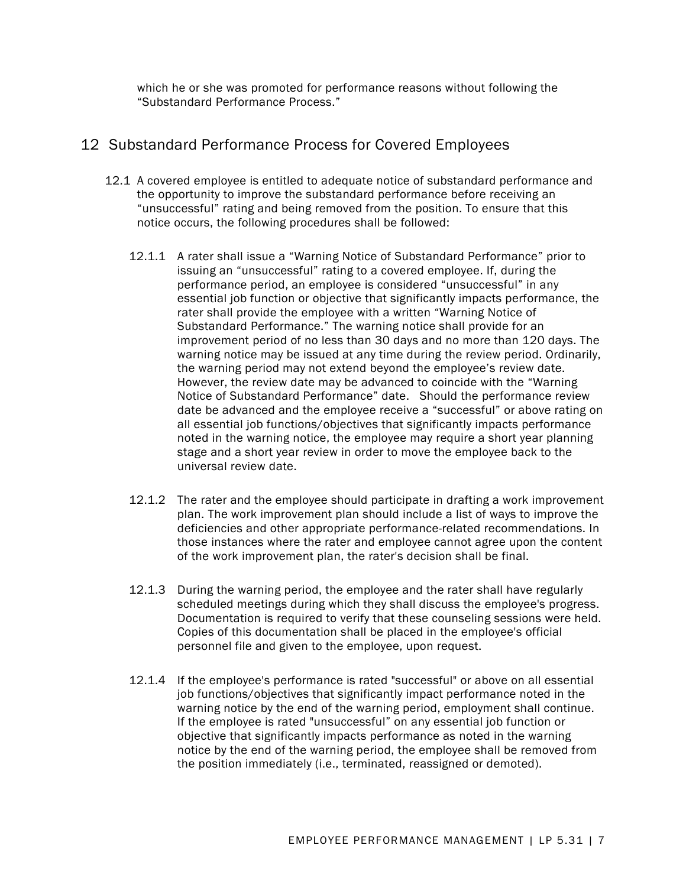which he or she was promoted for performance reasons without following the "Substandard Performance Process."

## 12 Substandard Performance Process for Covered Employees

- 12.1 A covered employee is entitled to adequate notice of substandard performance and the opportunity to improve the substandard performance before receiving an "unsuccessful" rating and being removed from the position. To ensure that this notice occurs, the following procedures shall be followed:
	- 12.1.1 A rater shall issue a "Warning Notice of Substandard Performance" prior to issuing an "unsuccessful" rating to a covered employee. If, during the performance period, an employee is considered "unsuccessful" in any essential job function or objective that significantly impacts performance, the rater shall provide the employee with a written "Warning Notice of Substandard Performance." The warning notice shall provide for an improvement period of no less than 30 days and no more than 120 days. The warning notice may be issued at any time during the review period. Ordinarily, the warning period may not extend beyond the employee's review date. However, the review date may be advanced to coincide with the "Warning Notice of Substandard Performance" date. Should the performance review date be advanced and the employee receive a "successful" or above rating on all essential job functions/objectives that significantly impacts performance noted in the warning notice, the employee may require a short year planning stage and a short year review in order to move the employee back to the universal review date.
	- 12.1.2 The rater and the employee should participate in drafting a work improvement plan. The work improvement plan should include a list of ways to improve the deficiencies and other appropriate performance-related recommendations. In those instances where the rater and employee cannot agree upon the content of the work improvement plan, the rater's decision shall be final.
	- 12.1.3 During the warning period, the employee and the rater shall have regularly scheduled meetings during which they shall discuss the employee's progress. Documentation is required to verify that these counseling sessions were held. Copies of this documentation shall be placed in the employee's official personnel file and given to the employee, upon request.
	- 12.1.4 If the employee's performance is rated "successful" or above on all essential job functions/objectives that significantly impact performance noted in the warning notice by the end of the warning period, employment shall continue. If the employee is rated "unsuccessful" on any essential job function or objective that significantly impacts performance as noted in the warning notice by the end of the warning period, the employee shall be removed from the position immediately (i.e., terminated, reassigned or demoted).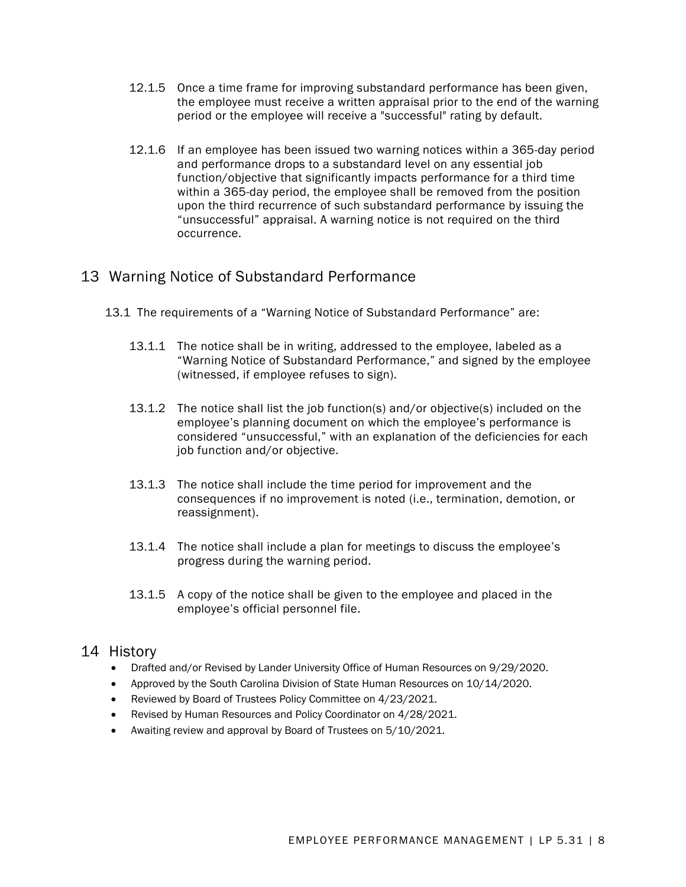- 12.1.5 Once a time frame for improving substandard performance has been given, the employee must receive a written appraisal prior to the end of the warning period or the employee will receive a "successful" rating by default.
- 12.1.6 If an employee has been issued two warning notices within a 365-day period and performance drops to a substandard level on any essential job function/objective that significantly impacts performance for a third time within a 365-day period, the employee shall be removed from the position upon the third recurrence of such substandard performance by issuing the "unsuccessful" appraisal. A warning notice is not required on the third occurrence.

# 13 Warning Notice of Substandard Performance

- 13.1 The requirements of a "Warning Notice of Substandard Performance" are:
	- 13.1.1 The notice shall be in writing, addressed to the employee, labeled as a "Warning Notice of Substandard Performance," and signed by the employee (witnessed, if employee refuses to sign).
	- 13.1.2 The notice shall list the job function(s) and/or objective(s) included on the employee's planning document on which the employee's performance is considered "unsuccessful," with an explanation of the deficiencies for each job function and/or objective.
	- 13.1.3 The notice shall include the time period for improvement and the consequences if no improvement is noted (i.e., termination, demotion, or reassignment).
	- 13.1.4 The notice shall include a plan for meetings to discuss the employee's progress during the warning period.
	- 13.1.5 A copy of the notice shall be given to the employee and placed in the employee's official personnel file.

## 14 History

- Drafted and/or Revised by Lander University Office of Human Resources on 9/29/2020.
- Approved by the South Carolina Division of State Human Resources on 10/14/2020.
- Reviewed by Board of Trustees Policy Committee on 4/23/2021.
- Revised by Human Resources and Policy Coordinator on 4/28/2021.
- Awaiting review and approval by Board of Trustees on 5/10/2021.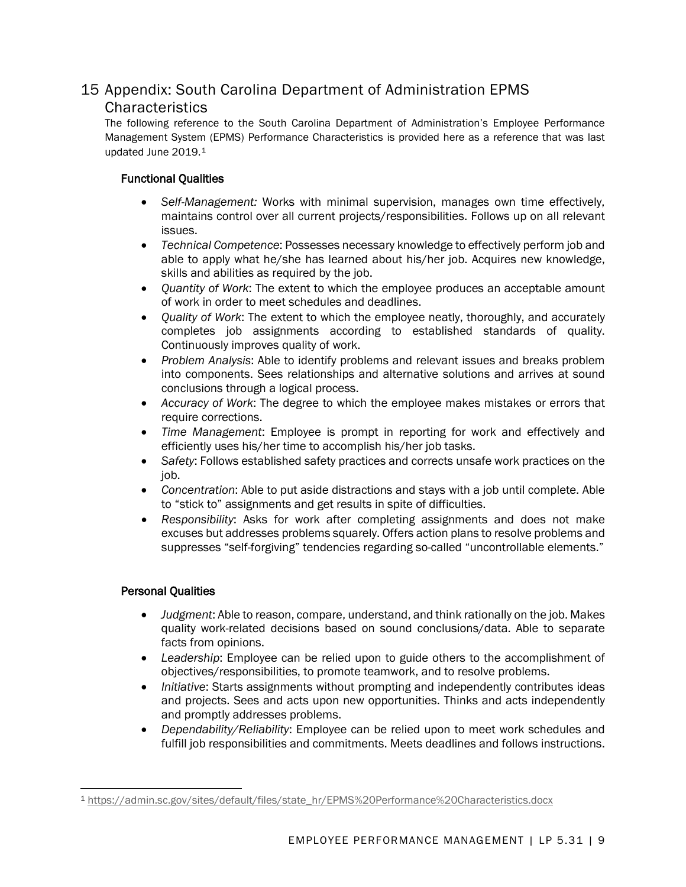# 15 Appendix: South Carolina Department of Administration EPMS **Characteristics**

The following reference to the South Carolina Department of Administration's Employee Performance Management System (EPMS) Performance Characteristics is provided here as a reference that was last updated June 2019.[1](#page-8-0)

#### Functional Qualities

- *Self-Management:* Works with minimal supervision, manages own time effectively, maintains control over all current projects/responsibilities. Follows up on all relevant issues.
- *Technical Competence*: Possesses necessary knowledge to effectively perform job and able to apply what he/she has learned about his/her job. Acquires new knowledge, skills and abilities as required by the job.
- *Quantity of Work*: The extent to which the employee produces an acceptable amount of work in order to meet schedules and deadlines.
- *Quality of Work*: The extent to which the employee neatly, thoroughly, and accurately completes job assignments according to established standards of quality. Continuously improves quality of work.
- *Problem Analysis*: Able to identify problems and relevant issues and breaks problem into components. Sees relationships and alternative solutions and arrives at sound conclusions through a logical process.
- *Accuracy of Work*: The degree to which the employee makes mistakes or errors that require corrections.
- *Time Management*: Employee is prompt in reporting for work and effectively and efficiently uses his/her time to accomplish his/her job tasks.
- *Safety*: Follows established safety practices and corrects unsafe work practices on the job.
- *Concentration*: Able to put aside distractions and stays with a job until complete. Able to "stick to" assignments and get results in spite of difficulties.
- *Responsibility*: Asks for work after completing assignments and does not make excuses but addresses problems squarely. Offers action plans to resolve problems and suppresses "self-forgiving" tendencies regarding so-called "uncontrollable elements."

#### Personal Qualities

- *Judgment*: Able to reason, compare, understand, and think rationally on the job. Makes quality work-related decisions based on sound conclusions/data. Able to separate facts from opinions.
- *Leadership*: Employee can be relied upon to guide others to the accomplishment of objectives/responsibilities, to promote teamwork, and to resolve problems.
- *Initiative*: Starts assignments without prompting and independently contributes ideas and projects. Sees and acts upon new opportunities. Thinks and acts independently and promptly addresses problems.
- *Dependability/Reliability*: Employee can be relied upon to meet work schedules and fulfill job responsibilities and commitments. Meets deadlines and follows instructions.

<span id="page-8-0"></span><sup>1</sup> [https://admin.sc.gov/sites/default/files/state\\_hr/EPMS%20Performance%20Characteristics.docx](https://admin.sc.gov/sites/default/files/state_hr/EPMS%20Performance%20Characteristics.docx)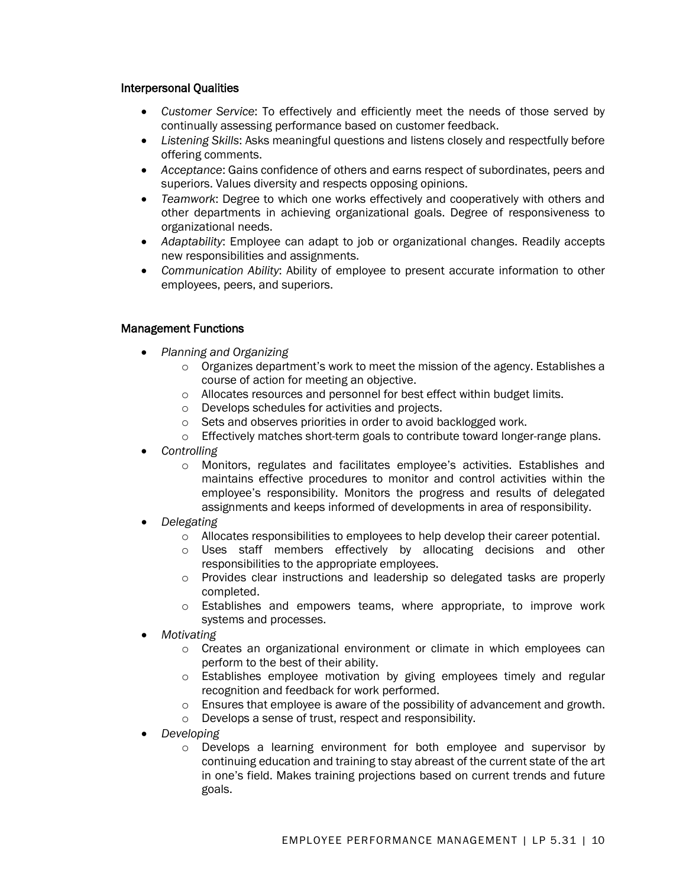#### Interpersonal Qualities

- *Customer Service*: To effectively and efficiently meet the needs of those served by continually assessing performance based on customer feedback.
- *Listening Skills*: Asks meaningful questions and listens closely and respectfully before offering comments.
- *Acceptance*: Gains confidence of others and earns respect of subordinates, peers and superiors. Values diversity and respects opposing opinions.
- *Teamwork*: Degree to which one works effectively and cooperatively with others and other departments in achieving organizational goals. Degree of responsiveness to organizational needs.
- *Adaptability*: Employee can adapt to job or organizational changes. Readily accepts new responsibilities and assignments.
- *Communication Ability*: Ability of employee to present accurate information to other employees, peers, and superiors.

#### Management Functions

- *Planning and Organizing*
	- $\circ$  Organizes department's work to meet the mission of the agency. Establishes a course of action for meeting an objective.
	- o Allocates resources and personnel for best effect within budget limits.
	- o Develops schedules for activities and projects.
	- o Sets and observes priorities in order to avoid backlogged work.
	- $\circ$  Effectively matches short-term goals to contribute toward longer-range plans.
- *Controlling*
	- o Monitors, regulates and facilitates employee's activities. Establishes and maintains effective procedures to monitor and control activities within the employee's responsibility. Monitors the progress and results of delegated assignments and keeps informed of developments in area of responsibility.
- *Delegating*
	- o Allocates responsibilities to employees to help develop their career potential.
	- o Uses staff members effectively by allocating decisions and other responsibilities to the appropriate employees.
	- o Provides clear instructions and leadership so delegated tasks are properly completed.
	- o Establishes and empowers teams, where appropriate, to improve work systems and processes.
- *Motivating*
	- $\circ$  Creates an organizational environment or climate in which employees can perform to the best of their ability.
	- $\circ$  Establishes employee motivation by giving employees timely and regular recognition and feedback for work performed.
	- o Ensures that employee is aware of the possibility of advancement and growth.
	- o Develops a sense of trust, respect and responsibility.
- *Developing*
	- $\circ$  Develops a learning environment for both employee and supervisor by continuing education and training to stay abreast of the current state of the art in one's field. Makes training projections based on current trends and future goals.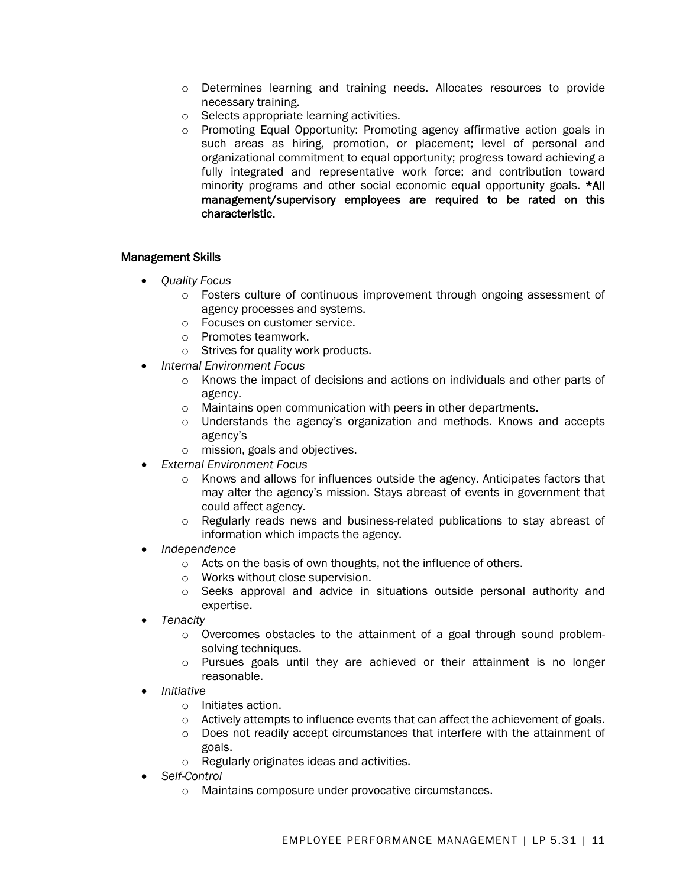- o Determines learning and training needs. Allocates resources to provide necessary training.
- o Selects appropriate learning activities.
- o Promoting Equal Opportunity: Promoting agency affirmative action goals in such areas as hiring, promotion, or placement; level of personal and organizational commitment to equal opportunity; progress toward achieving a fully integrated and representative work force; and contribution toward minority programs and other social economic equal opportunity goals. \*All management/supervisory employees are required to be rated on this characteristic.

#### Management Skills

- *Quality Focus*
	- o Fosters culture of continuous improvement through ongoing assessment of agency processes and systems.
	- o Focuses on customer service.
	- o Promotes teamwork.
	- o Strives for quality work products.
- *Internal Environment Focus*
	- o Knows the impact of decisions and actions on individuals and other parts of agency.
	- o Maintains open communication with peers in other departments.
	- $\circ$  Understands the agency's organization and methods. Knows and accepts agency's
	- o mission, goals and objectives.
- *External Environment Focus*
	- o Knows and allows for influences outside the agency. Anticipates factors that may alter the agency's mission. Stays abreast of events in government that could affect agency.
	- o Regularly reads news and business-related publications to stay abreast of information which impacts the agency.
- *Independence*
	- o Acts on the basis of own thoughts, not the influence of others.
	- o Works without close supervision.
	- o Seeks approval and advice in situations outside personal authority and expertise.
- *Tenacity*
	- o Overcomes obstacles to the attainment of a goal through sound problemsolving techniques.
	- o Pursues goals until they are achieved or their attainment is no longer reasonable.
- *Initiative*
	- o Initiates action.
	- o Actively attempts to influence events that can affect the achievement of goals.
	- o Does not readily accept circumstances that interfere with the attainment of goals.
	- o Regularly originates ideas and activities.
- *Self-Control*
	- o Maintains composure under provocative circumstances.